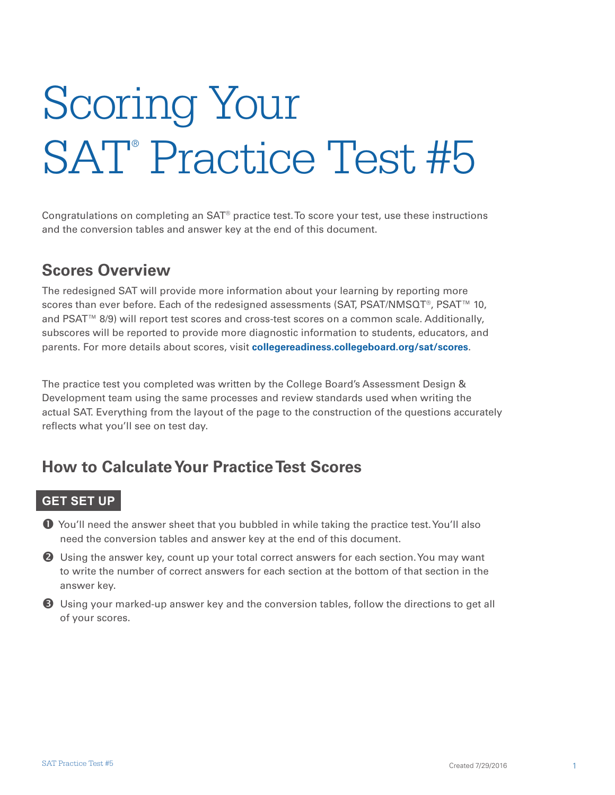# Scoring Your SAT<sup>®</sup> Practice Test #5

Congratulations on completing an SAT® practice test. To score your test, use these instructions and the conversion tables and answer key at the end of this document.

#### **Scores Overview**

The redesigned SAT will provide more information about your learning by reporting more scores than ever before. Each of the redesigned assessments (SAT, PSAT/NMSQT®, PSAT™ 10, and PSAT™ 8/9) will report test scores and cross-test scores on a common scale. Additionally, subscores will be reported to provide more diagnostic information to students, educators, and parents. For more details about scores, visit **[collegereadiness.collegeboard.org/sat/scores](http://collegereadiness.collegeboard.org/sat/scores)**.

The practice test you completed was written by the College Board's Assessment Design & Development team using the same processes and review standards used when writing the actual SAT. Everything from the layout of the page to the construction of the questions accurately reflects what you'll see on test day.

#### **How to Calculate Your Practice Test Scores**

#### **GET SET UP**

 You'll need the answer sheet that you bubbled in while taking the practice test. You'll also need the conversion tables and answer key at the end of this document.

**2** Using the answer key, count up your total correct answers for each section. You may want to write the number of correct answers for each section at the bottom of that section in the answer key.

 Using your marked-up answer key and the conversion tables, follow the directions to get all of your scores.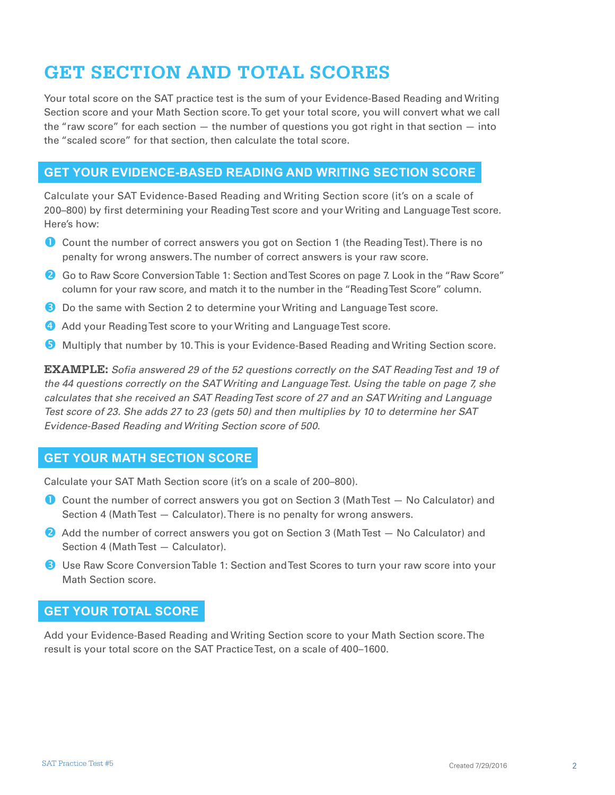### **GET SECTION AND TOTAL SCORES**

Your total score on the SAT practice test is the sum of your Evidence-Based Reading and Writing Section score and your Math Section score. To get your total score, you will convert what we call the "raw score" for each section — the number of questions you got right in that section — into the "scaled score" for that section, then calculate the total score.

#### **GET YOUR EVIDENCE-BASED READING AND WRITING SECTION SCORE**

Calculate your SAT Evidence-Based Reading and Writing Section score (it's on a scale of 200–800) by first determining your Reading Test score and your Writing and Language Test score. Here's how:

- Count the number of correct answers you got on Section 1 (the Reading Test). There is no penalty for wrong answers. The number of correct answers is your raw score.
- <sup>2</sup> Go to Raw Score Conversion Table 1: Section and Test Scores on page 7. Look in the "Raw Score" column for your raw score, and match it to the number in the "Reading Test Score" column.
- **B** Do the same with Section 2 to determine your Writing and Language Test score.
- **4** Add your Reading Test score to your Writing and Language Test score.
- **G** Multiply that number by 10. This is your Evidence-Based Reading and Writing Section score.

**EXAMPLE:** *Sofia answered 29 of the 52 questions correctly on the SAT Reading Test and 19 of the 44 questions correctly on the SAT Writing and Language Test. Using the table on page 7, she calculates that she received an SAT Reading Test score of 27 and an SAT Writing and Language Test score of 23. She adds 27 to 23 (gets 50) and then multiplies by 10 to determine her SAT Evidence-Based Reading and Writing Section score of 500.* 

#### **GET YOUR MATH SECTION SCORE**

Calculate your SAT Math Section score (it's on a scale of 200–800).

- Count the number of correct answers you got on Section 3 (Math Test No Calculator) and Section 4 (Math Test — Calculator). There is no penalty for wrong answers.
- **2** Add the number of correct answers you got on Section 3 (Math Test No Calculator) and Section 4 (Math Test — Calculator).
- **B** Use Raw Score Conversion Table 1: Section and Test Scores to turn your raw score into your Math Section score.

#### **GET YOUR TOTAL SCORE**

Add your Evidence-Based Reading and Writing Section score to your Math Section score. The result is your total score on the SAT Practice Test, on a scale of 400–1600.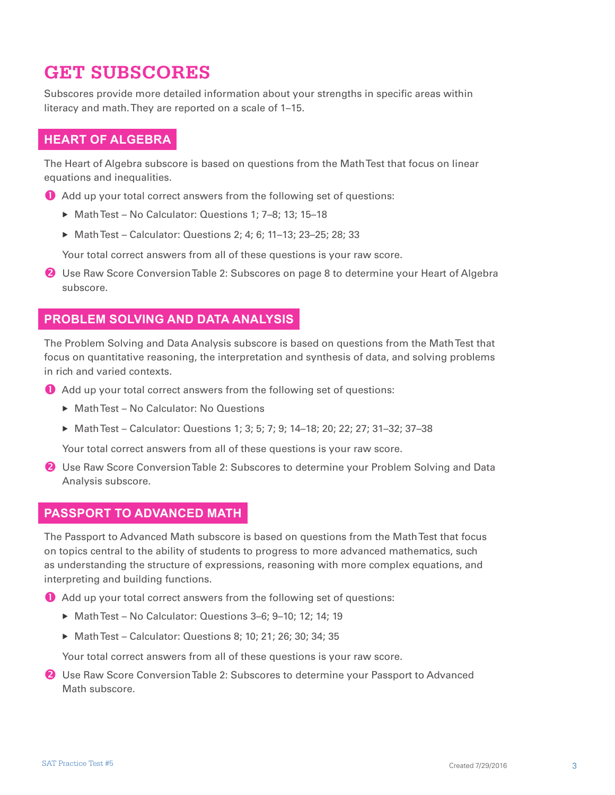#### **GET SUBSCORES**

Subscores provide more detailed information about your strengths in specific areas within literacy and math. They are reported on a scale of 1–15.

#### **HEART OF ALGEBRA**

The Heart of Algebra subscore is based on questions from the Math Test that focus on linear equations and inequalities.

- Add up your total correct answers from the following set of questions:
	- ▶ Math Test No Calculator: Questions 1; 7-8; 13; 15-18
	- ▶ Math Test Calculator: Questions 2; 4; 6; 11-13; 23-25; 28; 33

Your total correct answers from all of these questions is your raw score.

**2** Use Raw Score Conversion Table 2: Subscores on page 8 to determine your Heart of Algebra subscore.

#### **PROBLEM SOLVING AND DATA ANALYSIS**

The Problem Solving and Data Analysis subscore is based on questions from the Math Test that focus on quantitative reasoning, the interpretation and synthesis of data, and solving problems in rich and varied contexts.

- Add up your total correct answers from the following set of questions:
	- ▶ Math Test No Calculator: No Questions
	- ▶ Math Test Calculator: Questions 1; 3; 5; 7; 9; 14–18; 20; 22; 27; 31–32; 37–38

Your total correct answers from all of these questions is your raw score.

**2** Use Raw Score Conversion Table 2: Subscores to determine your Problem Solving and Data Analysis subscore.

#### **PASSPORT TO ADVANCED MATH**

The Passport to Advanced Math subscore is based on questions from the Math Test that focus on topics central to the ability of students to progress to more advanced mathematics, such as understanding the structure of expressions, reasoning with more complex equations, and interpreting and building functions.

Add up your total correct answers from the following set of questions:

- ▶ Math Test No Calculator: Questions 3-6; 9-10; 12; 14; 19
- ▶ Math Test Calculator: Questions 8: 10: 21: 26: 30: 34: 35

Your total correct answers from all of these questions is your raw score.

**2** Use Raw Score Conversion Table 2: Subscores to determine your Passport to Advanced Math subscore.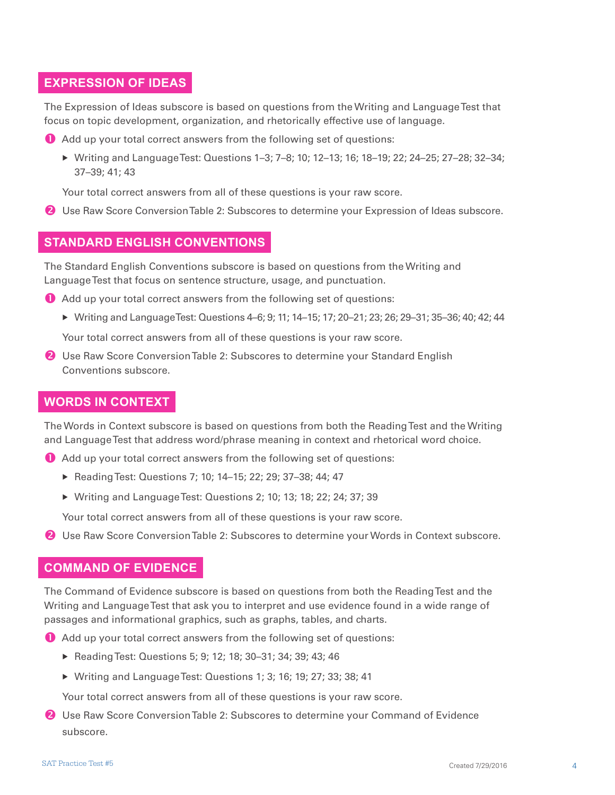#### **EXPRESSION OF IDEAS**

The Expression of Ideas subscore is based on questions from the Writing and Language Test that focus on topic development, organization, and rhetorically effective use of language.

Add up your total correct answers from the following set of questions:

 Writing and Language Test: Questions 1–3; 7–8; 10; 12–13; 16; 18–19; 22; 24–25; 27–28; 32–34; 37–39; 41; 43

Your total correct answers from all of these questions is your raw score.

Use Raw Score Conversion Table 2: Subscores to determine your Expression of Ideas subscore.

#### **STANDARD ENGLISH CONVENTIONS**

The Standard English Conventions subscore is based on questions from the Writing and Language Test that focus on sentence structure, usage, and punctuation.

- Add up your total correct answers from the following set of questions:
	- Writing and Language Test: Questions 4–6; 9; 11; 14–15; 17; 20–21; 23; 26; 29–31; 35–36; 40; 42; 44

Your total correct answers from all of these questions is your raw score.

**2** Use Raw Score Conversion Table 2: Subscores to determine your Standard English Conventions subscore.

#### **WORDS IN CONTEXT**

The Words in Context subscore is based on questions from both the Reading Test and the Writing and Language Test that address word/phrase meaning in context and rhetorical word choice.

- Add up your total correct answers from the following set of questions:
	- ▶ Reading Test: Questions 7; 10; 14-15; 22; 29; 37-38; 44; 47
	- Writing and Language Test: Questions 2; 10; 13; 18; 22; 24; 37; 39

Your total correct answers from all of these questions is your raw score.

**2** Use Raw Score Conversion Table 2: Subscores to determine your Words in Context subscore.

#### **COMMAND OF EVIDENCE**

The Command of Evidence subscore is based on questions from both the Reading Test and the Writing and Language Test that ask you to interpret and use evidence found in a wide range of passages and informational graphics, such as graphs, tables, and charts.

Add up your total correct answers from the following set of questions:

- ▶ Reading Test: Questions 5; 9; 12; 18; 30-31; 34; 39; 43; 46
- Writing and Language Test: Questions 1; 3; 16; 19; 27; 33; 38; 41

Your total correct answers from all of these questions is your raw score.

**2** Use Raw Score Conversion Table 2: Subscores to determine your Command of Evidence subscore.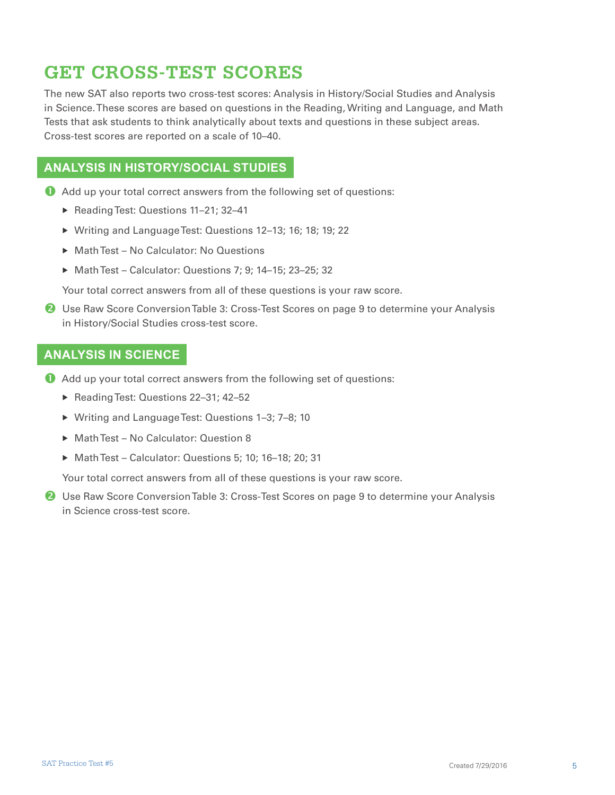### **GET CROSS-TEST SCORES**

The new SAT also reports two cross-test scores: Analysis in History/Social Studies and Analysis in Science. These scores are based on questions in the Reading, Writing and Language, and Math Tests that ask students to think analytically about texts and questions in these subject areas. Cross-test scores are reported on a scale of 10–40.

#### **ANALYSIS IN HISTORY/SOCIAL STUDIES**

- Add up your total correct answers from the following set of questions:
	- ▶ Reading Test: Questions 11-21; 32-41
	- ▶ Writing and Language Test: Questions 12-13; 16; 18; 19; 22
	- ▶ Math Test No Calculator: No Questions
	- ▶ Math Test Calculator: Questions 7; 9; 14-15; 23-25; 32

Your total correct answers from all of these questions is your raw score.

**2** Use Raw Score Conversion Table 3: Cross-Test Scores on page 9 to determine your Analysis in History/Social Studies cross-test score.

#### **ANALYSIS IN SCIENCE**

- Add up your total correct answers from the following set of questions:
	- ▶ Reading Test: Questions 22-31; 42-52
	- ▶ Writing and Language Test: Questions 1-3; 7-8; 10
	- ▶ Math Test No Calculator: Question 8
	- Math Test Calculator: Questions 5; 10; 16–18; 20; 31

Your total correct answers from all of these questions is your raw score.

**2** Use Raw Score Conversion Table 3: Cross-Test Scores on page 9 to determine your Analysis in Science cross-test score.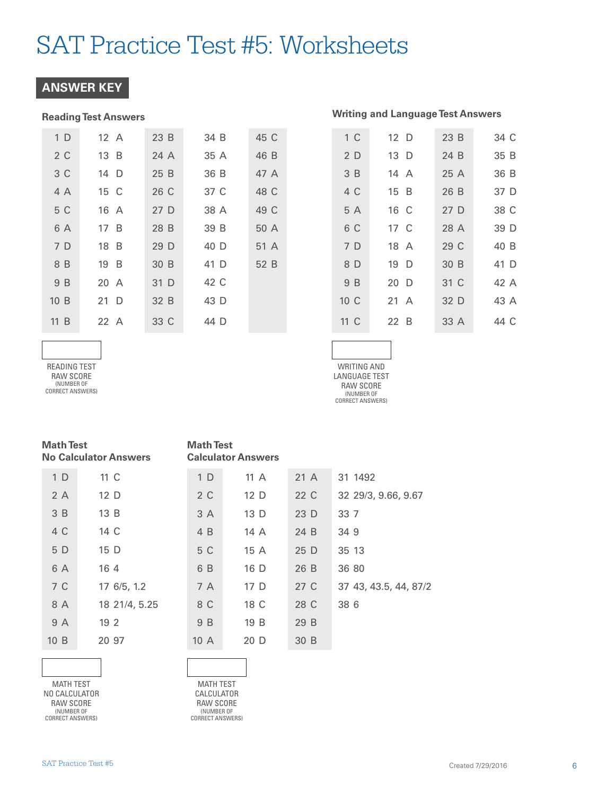#### **ANSWER KEY**

#### **Reading Test Answers**

| 1 <sub>D</sub> | 12 A | 23B  | 34 B | 45 C |
|----------------|------|------|------|------|
| 2 C            | 13 B | 24 A | 35 A | 46 B |
| 3 C            | 14 D | 25 B | 36 B | 47 A |
| 4 A            | 15 C | 26 C | 37 C | 48 C |
| 5 C            | 16 A | 27 D | 38 A | 49 C |
| 6 A            | 17 B | 28 B | 39 B | 50 A |
| 7 D            | 18 B | 29 D | 40 D | 51 A |
| 8 B            | 19 B | 30 B | 41 D | 52 B |
| 9 B            | 20 A | 31 D | 42 C |      |
| 10B            | 21 D | 32 B | 43 D |      |
| 11 B           | 22A  | 33 C | 44 D |      |

| 1 <sup>C</sup>  | 12 D           | 23 B | 34 C |
|-----------------|----------------|------|------|
| 2D              | 13 D           | 24 B | 35 B |
| 3B              | 14 A           | 25A  | 36 B |
| 4 C             | 15 B           | 26 B | 37 D |
| 5 A             | 16 C           | 27D  | 38 C |
| 6 C             | 17 C           | 28 A | 39 D |
| 7 D             | 18 A           | 29 C | 40 B |
| 8 D             | 19 D           | 30 B | 41 D |
| 9 B             | 20 D           | 31 C | 42 A |
| 10 <sup>C</sup> | $21 \text{ A}$ | 32 D | 43 A |
| 11 C            | 22 B           | 33 A | 44 C |
|                 |                |      |      |

**Writing and Language Test Answers** 

READING TEST RAW SCORE (NUMBER OF CORRECT ANSWERS)

WRITING AND LANGUAGE TEST RAW SCORE (NUMBER OF CORRECT ANSWERS)

| <b>Math Test</b>             |  |
|------------------------------|--|
| <b>No Calculator Answers</b> |  |

| 1 D | 11 C          |
|-----|---------------|
| 2A  | 12 D          |
| 3B  | 13B           |
| 4 C | 14 C          |
| 5 D | 15 D          |
| 6 A | 164           |
| 7 C | 17 6/5, 1.2   |
| 8 A | 18 21/4, 5.25 |
| 9 A | 192           |
| 10B | 20.97         |
|     |               |

**Math Test Calculator Answers** 

| 1 <sub>D</sub> | 11 $\land$      | 21A  | 31 1492               |
|----------------|-----------------|------|-----------------------|
| 2 C            | 12 <sub>D</sub> | 22 C | 32 29/3, 9.66, 9.67   |
| 3 A            | 13D             | 23 D | 33 7                  |
| 4 B            | 14 A            | 24 B | 349                   |
| 5 C            | 15 A            | 25 D | 35 13                 |
| 6 B            | 16 D            | 26 B | 36 80                 |
| 7 A            | 17 D            | 27 C | 37 43, 43.5, 44, 87/2 |
| 8 C            | 18 C            | 28 C | 38 6                  |
| 9 B            | 19 B            | 29 B |                       |
| 10A            | 20 D            | 30 B |                       |

MATH TEST NO CALCULATOR RAW SCORE (NUMBER OF CORRECT ANSWERS)

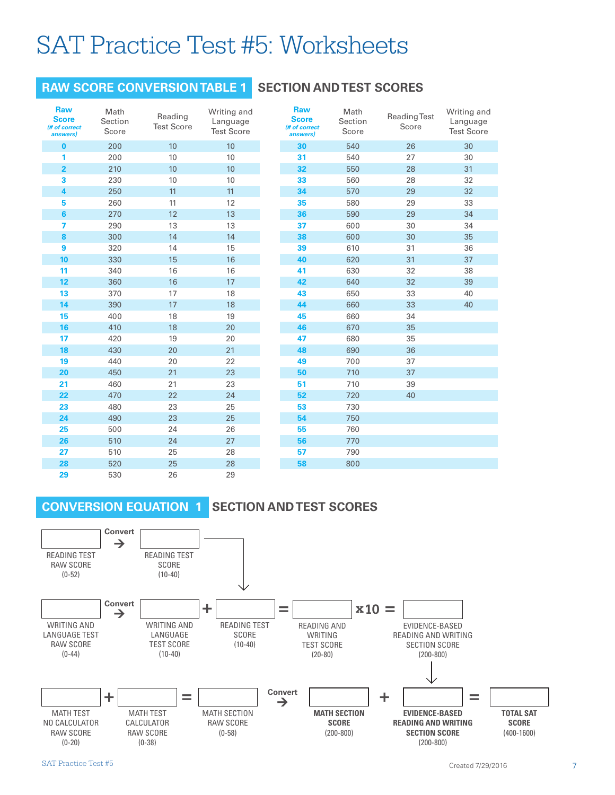#### **RAW SCORE CONVERSION TABLE 1**

#### **SECTION AND TEST SCORES**

| <b>Raw</b><br><b>Score</b><br>(# of correct<br>answers) | Math<br>Section<br>Score | Reading<br><b>Test Score</b> | Writing and<br>Language<br><b>Test Score</b> |
|---------------------------------------------------------|--------------------------|------------------------------|----------------------------------------------|
| $\bf{0}$                                                | 200                      | 10                           | 10                                           |
| 1                                                       | 200                      | 10                           | 10                                           |
| $\overline{\mathbf{2}}$                                 | 210                      | 10                           | 10                                           |
| 3                                                       | 230                      | 10                           | 10                                           |
| 4                                                       | 250                      | 11                           | 11                                           |
| 5                                                       | 260                      | 11                           | 12                                           |
| 6                                                       | 270                      | 12                           | 13                                           |
| 7                                                       | 290                      | 13                           | 13                                           |
| 8                                                       | 300                      | 14                           | 14                                           |
| 9                                                       | 320                      | 14                           | 15                                           |
| 10                                                      | 330                      | 15                           | 16                                           |
| 11                                                      | 340                      | 16                           | 16                                           |
| 12                                                      | 360                      | 16                           | 17                                           |
| 13                                                      | 370                      | 17                           | 18                                           |
| 14                                                      | 390                      | 17                           | 18                                           |
| 15                                                      | 400                      | 18                           | 19                                           |
| 16                                                      | 410                      | 18                           | 20                                           |
| 17                                                      | 420                      | 19                           | 20                                           |
| 18                                                      | 430                      | 20                           | 21                                           |
| 19                                                      | 440                      | 20                           | 22                                           |
| 20                                                      | 450                      | 21                           | 23                                           |
| 21                                                      | 460                      | 21                           | 23                                           |
| 22                                                      | 470                      | 22                           | 24                                           |
| 23                                                      | 480                      | 23                           | 25                                           |
| 24                                                      | 490                      | 23                           | 25                                           |
| 25                                                      | 500                      | 24                           | 26                                           |
| 26                                                      | 510                      | 24                           | 27                                           |
| 27                                                      | 510                      | 25                           | 28                                           |
| 28                                                      | 520                      | 25                           | 28                                           |
| 29                                                      | 530                      | 26                           | 29                                           |

| <b>Raw</b><br><b>Score</b><br>(# of correct<br>answers) | Math<br>Section<br>Score | <b>Reading Test</b><br>Score | Writing and<br>Language<br><b>Test Score</b> |  |
|---------------------------------------------------------|--------------------------|------------------------------|----------------------------------------------|--|
| 30                                                      | 540                      | 26                           | 30                                           |  |
| 31                                                      | 540                      | 27                           | 30                                           |  |
| 32                                                      | 550                      | 28                           | 31                                           |  |
| 33                                                      | 560                      | 28                           | 32                                           |  |
| 34                                                      | 570                      | 29                           | 32                                           |  |
| 35                                                      | 580                      | 29                           | 33                                           |  |
| 36                                                      | 590                      | 29                           | 34                                           |  |
| 37                                                      | 600                      | 30                           | 34                                           |  |
| 38                                                      | 600                      | 30                           | 35                                           |  |
| 39                                                      | 610                      | 31                           | 36                                           |  |
| 40                                                      | 620                      | 31                           | 37                                           |  |
| 41                                                      | 630                      | 32                           | 38                                           |  |
| 42                                                      | 640                      | 32                           | 39                                           |  |
| 43                                                      | 650                      | 33                           | 40                                           |  |
| 44                                                      | 660                      | 33                           | 40                                           |  |
| 45                                                      | 660                      | 34                           |                                              |  |
| 46                                                      | 670                      | 35                           |                                              |  |
| 47                                                      | 680                      | 35                           |                                              |  |
| 48                                                      | 690                      | 36                           |                                              |  |
| 49                                                      | 700                      | 37                           |                                              |  |
| 50                                                      | 710                      | 37                           |                                              |  |
| 51                                                      | 710                      | 39                           |                                              |  |
| 52                                                      | 720                      | 40                           |                                              |  |
| 53                                                      | 730                      |                              |                                              |  |
| 54                                                      | 750                      |                              |                                              |  |
| 55                                                      | 760                      |                              |                                              |  |
| 56                                                      | 770                      |                              |                                              |  |
| 57                                                      | 790                      |                              |                                              |  |
| 58                                                      | 800                      |                              |                                              |  |

#### **CONVERSION EQUATION 1**

#### **SECTION AND TEST SCORES**

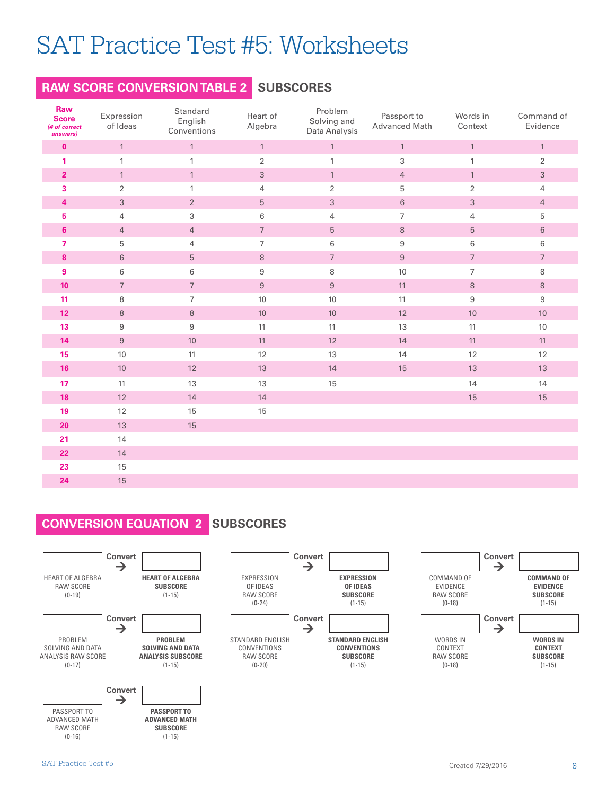#### **RAW SCORE CONVERSION TABLE 2 SUBSCORES**

| Raw<br><b>Score</b><br>(# of correct<br>answers) | Expression<br>of Ideas | Standard<br>English<br>Conventions | Heart of<br>Algebra | Problem<br>Solving and<br>Data Analysis | Passport to<br>Advanced Math | Words in<br>Context | Command of<br>Evidence |
|--------------------------------------------------|------------------------|------------------------------------|---------------------|-----------------------------------------|------------------------------|---------------------|------------------------|
| $\mathbf 0$                                      | $\mathbf{1}$           | $\mathbf{1}$                       | $\mathbf{1}$        | $\mathbf{1}$                            | $\mathbbm{1}$                | $\mathbf{1}$        | $\mathbf{1}$           |
| 1                                                | $\mathbf{1}$           | $\mathbf{1}$                       | $\sqrt{2}$          | $\mathbf{1}$                            | $\sqrt{3}$                   | 1                   | $\overline{2}$         |
| $\overline{2}$                                   | $\mathbf{1}$           | $\mathbf{1}$                       | $\sqrt{3}$          | $\mathbf{1}$                            | $\overline{4}$               | $\mathbf{1}$        | $\sqrt{3}$             |
| 3                                                | $\overline{2}$         | $\mathbf{1}$                       | $\overline{4}$      | $\overline{2}$                          | 5                            | $\overline{2}$      | 4                      |
| 4                                                | $\mathfrak{S}$         | $2^{\circ}$                        | 5                   | $\sqrt{3}$                              | $\,6\,$                      | $\sqrt{3}$          | $\overline{4}$         |
| 5                                                | $\overline{4}$         | $\,$ 3 $\,$                        | 6                   | $\sqrt{4}$                              | $\boldsymbol{7}$             | $\overline{4}$      | 5                      |
| $6\phantom{1}$                                   | $\overline{4}$         | $\overline{4}$                     | $\overline{7}$      | $\mathbf 5$                             | $\, 8$                       | 5                   | $\,6\,$                |
| $\overline{7}$                                   | 5                      | $\overline{4}$                     | $\overline{7}$      | 6                                       | $\boldsymbol{9}$             | 6                   | $\,6$                  |
| 8                                                | 6                      | $\sqrt{5}$                         | $\,8\,$             | $\boldsymbol{7}$                        | $\,9$                        | $\overline{7}$      | $\overline{7}$         |
| $\boldsymbol{9}$                                 | 6                      | 6                                  | $\,9$               | 8                                       | 10                           | $\overline{7}$      | 8                      |
| 10 <sub>1</sub>                                  | $\overline{7}$         | $7\overline{ }$                    | $9\,$               | $\boldsymbol{9}$                        | 11                           | $\,8\,$             | $\,8\,$                |
| 11                                               | 8                      | $\overline{7}$                     | 10                  | 10                                      | 11                           | $\boldsymbol{9}$    | $\boldsymbol{9}$       |
| 12 <sub>2</sub>                                  | $\,8\,$                | $\,8\,$                            | $10\,$              | $10$                                    | $12$                         | $10\,$              | $10\,$                 |
| 13                                               | $\boldsymbol{9}$       | $\boldsymbol{9}$                   | 11                  | 11                                      | 13                           | 11                  | $10\,$                 |
| 14                                               | $\boldsymbol{9}$       | 10                                 | 11                  | 12                                      | 14                           | 11                  | 11                     |
| 15                                               | 10                     | 11                                 | 12                  | 13                                      | 14                           | 12                  | 12                     |
| 16                                               | 10                     | 12                                 | 13                  | 14                                      | 15                           | 13                  | 13                     |
| 17                                               | 11                     | 13                                 | 13                  | 15                                      |                              | 14                  | 14                     |
| 18                                               | 12                     | 14                                 | 14                  |                                         |                              | 15                  | 15                     |
| 19                                               | 12                     | 15                                 | 15                  |                                         |                              |                     |                        |
| 20                                               | 13                     | 15                                 |                     |                                         |                              |                     |                        |
| 21                                               | 14                     |                                    |                     |                                         |                              |                     |                        |
| 22                                               | 14                     |                                    |                     |                                         |                              |                     |                        |
| 23                                               | 15                     |                                    |                     |                                         |                              |                     |                        |
| 24                                               | 15                     |                                    |                     |                                         |                              |                     |                        |

#### **CONVERSION EQUATION 2 SUBSCORES**